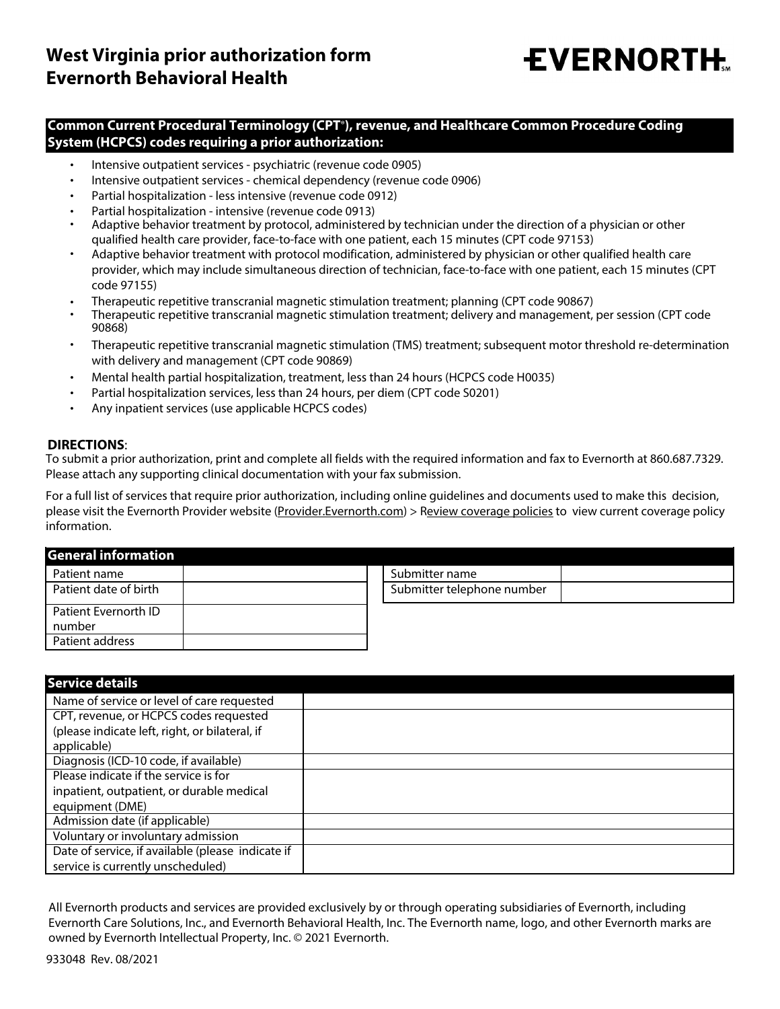## **EVERNORTH.**

## **Common Current Procedural Terminology (CPT**®**), revenue, and Healthcare Common Procedure Coding System (HCPCS) codes requiring a prior authorization:**

- Intensive outpatient services psychiatric (revenue code 0905) •
- Intensive outpatient services chemical dependency (revenue code 0906) •
- Partial hospitalization less intensive (revenue code 0912) •
- Partial hospitalization intensive (revenue code 0913) •
- Adaptive behavior treatment by protocol, administered by technician under the direction of a physician or other qualified health care provider, face-to-face with one patient, each 15 minutes (CPT code 97153) •
- Adaptive behavior treatment with protocol modification, administered by physician or other qualified health care provider, which may include simultaneous direction of technician, face-to-face with one patient, each 15 minutes (CPT code 97155) •
- Therapeutic repetitive transcranial magnetic stimulation treatment; planning (CPT code 90867) •
- Therapeutic repetitive transcranial magnetic stimulation treatment; delivery and management, per session (CPT code 90868) •
- Therapeutic repetitive transcranial magnetic stimulation (TMS) treatment; subsequent motor threshold re-determination with delivery and management (CPT code 90869) •
- Mental health partial hospitalization, treatment, less than 24 hours (HCPCS code H0035) •
- Partial hospitalization services, less than 24 hours, per diem (CPT code S0201) •
- Any inpatient services (use applicable HCPCS codes) •

## **DIRECTIONS**:

To submit a prior authorization, print and complete all fields with the required information and fax to Evernorth at 860.687.7329. Please attach any supporting clinical documentation with your fax submission.

For a full list of services that require prior authorization, including online guidelines and documents used to make this decision, please visit the Evernorth Provider website (Provider.Evernorth.com) > Review coverage policies to view current coverage policy information.

## **General information**

| Patient name                   | Submitter name             |
|--------------------------------|----------------------------|
| Patient date of birth          | Submitter telephone number |
| Patient Evernorth ID<br>number |                            |
| Patient address                |                            |

| <b>Service details</b>                            |  |
|---------------------------------------------------|--|
| Name of service or level of care requested        |  |
| CPT, revenue, or HCPCS codes requested            |  |
| (please indicate left, right, or bilateral, if    |  |
| applicable)                                       |  |
| Diagnosis (ICD-10 code, if available)             |  |
| Please indicate if the service is for             |  |
| inpatient, outpatient, or durable medical         |  |
| equipment (DME)                                   |  |
| Admission date (if applicable)                    |  |
| Voluntary or involuntary admission                |  |
| Date of service, if available (please indicate if |  |
| service is currently unscheduled)                 |  |

All Evernorth products and services are provided exclusively by or through operating subsidiaries of Evernorth, including Evernorth Care Solutions, Inc., and Evernorth Behavioral Health, Inc. The Evernorth name, logo, and other Evernorth marks are owned by Evernorth Intellectual Property, Inc. © 2021 Evernorth.